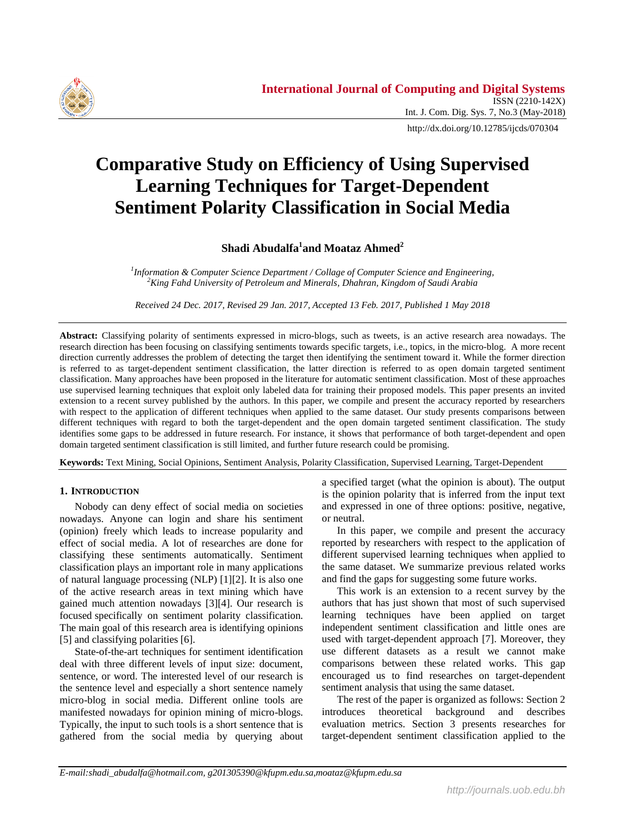

http://dx.doi.org/10.12785/ijcds/070304

# **Comparative Study on Efficiency of Using Supervised Learning Techniques for Target-Dependent Sentiment Polarity Classification in Social Media**

# **Shadi Abudalfa<sup>1</sup> and Moataz Ahmed<sup>2</sup>**

*1 Information & Computer Science Department / Collage of Computer Science and Engineering, <sup>2</sup>King Fahd University of Petroleum and Minerals, Dhahran, Kingdom of Saudi Arabia*

*Received 24 Dec. 2017, Revised 29 Jan. 2017, Accepted 13 Feb. 2017, Published 1 May 2018*

**Abstract:** Classifying polarity of sentiments expressed in micro-blogs, such as tweets, is an active research area nowadays. The research direction has been focusing on classifying sentiments towards specific targets, i.e., topics, in the micro-blog. A more recent direction currently addresses the problem of detecting the target then identifying the sentiment toward it. While the former direction is referred to as target-dependent sentiment classification, the latter direction is referred to as open domain targeted sentiment classification. Many approaches have been proposed in the literature for automatic sentiment classification. Most of these approaches use supervised learning techniques that exploit only labeled data for training their proposed models. This paper presents an invited extension to a recent survey published by the authors. In this paper, we compile and present the accuracy reported by researchers with respect to the application of different techniques when applied to the same dataset. Our study presents comparisons between different techniques with regard to both the target-dependent and the open domain targeted sentiment classification. The study identifies some gaps to be addressed in future research. For instance, it shows that performance of both target-dependent and open domain targeted sentiment classification is still limited, and further future research could be promising.

**Keywords:** Text Mining, Social Opinions, Sentiment Analysis, Polarity Classification, Supervised Learning, Target-Dependent

### **1. INTRODUCTION**

Nobody can deny effect of social media on societies nowadays. Anyone can login and share his sentiment (opinion) freely which leads to increase popularity and effect of social media. A lot of researches are done for classifying these sentiments automatically. Sentiment classification plays an important role in many applications of natural language processing (NLP) [1][2]. It is also one of the active research areas in text mining which have gained much attention nowadays [3][4]. Our research is focused specifically on sentiment polarity classification. The main goal of this research area is identifying opinions [5] and classifying polarities [6].

State-of-the-art techniques for sentiment identification deal with three different levels of input size: document, sentence, or word. The interested level of our research is the sentence level and especially a short sentence namely micro-blog in social media. Different online tools are manifested nowadays for opinion mining of micro-blogs. Typically, the input to such tools is a short sentence that is gathered from the social media by querying about a specified target (what the opinion is about). The output is the opinion polarity that is inferred from the input text and expressed in one of three options: positive, negative, or neutral.

In this paper, we compile and present the accuracy reported by researchers with respect to the application of different supervised learning techniques when applied to the same dataset. We summarize previous related works and find the gaps for suggesting some future works.

This work is an extension to a recent survey by the authors that has just shown that most of such supervised learning techniques have been applied on target independent sentiment classification and little ones are used with target-dependent approach [7]. Moreover, they use different datasets as a result we cannot make comparisons between these related works. This gap encouraged us to find researches on target-dependent sentiment analysis that using the same dataset.

The rest of the paper is organized as follows: Section 2 introduces theoretical background and describes evaluation metrics. Section 3 presents researches for target-dependent sentiment classification applied to the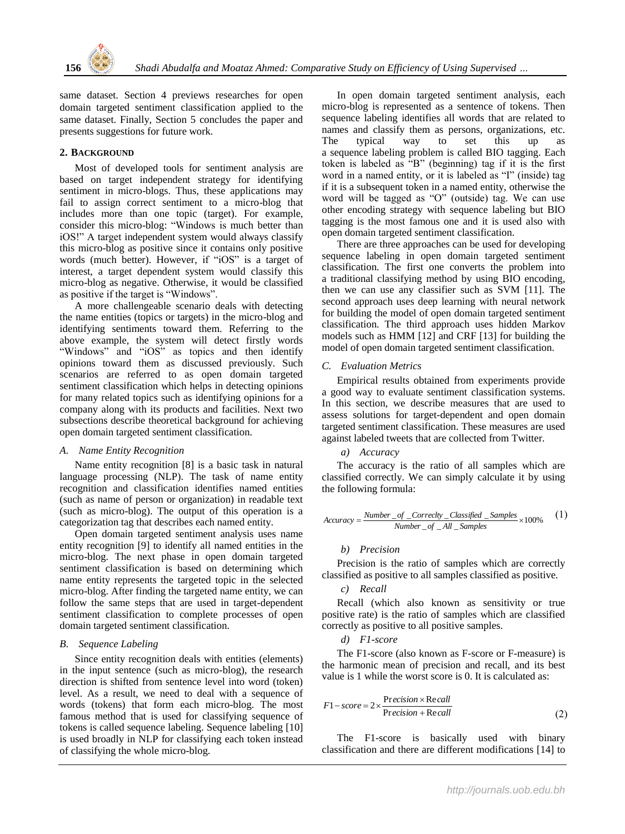

same dataset. Section 4 previews researches for open domain targeted sentiment classification applied to the same dataset. Finally, Section 5 concludes the paper and presents suggestions for future work.

#### **2. BACKGROUND**

Most of developed tools for sentiment analysis are based on target independent strategy for identifying sentiment in micro-blogs. Thus, these applications may fail to assign correct sentiment to a micro-blog that includes more than one topic (target). For example, consider this micro-blog: "Windows is much better than iOS!" A target independent system would always classify this micro-blog as positive since it contains only positive words (much better). However, if "iOS" is a target of interest, a target dependent system would classify this micro-blog as negative. Otherwise, it would be classified as positive if the target is "Windows".

A more challengeable scenario deals with detecting the name entities (topics or targets) in the micro-blog and identifying sentiments toward them. Referring to the above example, the system will detect firstly words "Windows" and "iOS" as topics and then identify opinions toward them as discussed previously. Such scenarios are referred to as open domain targeted sentiment classification which helps in detecting opinions for many related topics such as identifying opinions for a company along with its products and facilities. Next two subsections describe theoretical background for achieving open domain targeted sentiment classification.

#### *A. Name Entity Recognition*

Name entity recognition [8] is a basic task in natural language processing (NLP). The task of name entity recognition and classification identifies named entities (such as name of person or organization) in readable text (such as micro-blog). The output of this operation is a categorization tag that describes each named entity.

Open domain targeted sentiment analysis uses name entity recognition [9] to identify all named entities in the micro-blog. The next phase in open domain targeted sentiment classification is based on determining which name entity represents the targeted topic in the selected micro-blog. After finding the targeted name entity, we can follow the same steps that are used in target-dependent sentiment classification to complete processes of open domain targeted sentiment classification.

### *B. Sequence Labeling*

Since entity recognition deals with entities (elements) in the input sentence (such as micro-blog), the research direction is shifted from sentence level into word (token) level. As a result, we need to deal with a sequence of words (tokens) that form each micro-blog. The most famous method that is used for classifying sequence of tokens is called sequence labeling. Sequence labeling [10] is used broadly in NLP for classifying each token instead of classifying the whole micro-blog.

In open domain targeted sentiment analysis, each micro-blog is represented as a sentence of tokens. Then sequence labeling identifies all words that are related to names and classify them as persons, organizations, etc. The typical way to set this up as a sequence labeling problem is called BIO tagging. Each token is labeled as "B" (beginning) tag if it is the first word in a named entity, or it is labeled as "I" (inside) tag if it is a subsequent token in a named entity, otherwise the word will be tagged as "O" (outside) tag. We can use other encoding strategy with sequence labeling but BIO tagging is the most famous one and it is used also with open domain targeted sentiment classification.

There are three approaches can be used for developing sequence labeling in open domain targeted sentiment classification. The first one converts the problem into a traditional classifying method by using BIO encoding, then we can use any classifier such as SVM [11]. The second approach uses deep learning with neural network for building the model of open domain targeted sentiment classification. The third approach uses hidden Markov models such as HMM [12] and CRF [13] for building the model of open domain targeted sentiment classification.

#### *C. Evaluation Metrics*

Empirical results obtained from experiments provide a good way to evaluate sentiment classification systems. In this section, we describe measures that are used to assess solutions for target-dependent and open domain targeted sentiment classification. These measures are used against labeled tweets that are collected from Twitter.

#### *a) Accuracy*

The accuracy is the ratio of all samples which are classified correctly. We can simply calculate it by using the following formula:

$$
Accuracy = \frac{Number\_of\_Correctly\_Classified\_Samples}{Number\_of\_All\_Samples} \times 100\% \tag{1}
$$

### *b) Precision*

Precision is the ratio of samples which are correctly classified as positive to all samples classified as positive.

*c) Recall*

Recall (which also known as sensitivity or true positive rate) is the ratio of samples which are classified correctly as positive to all positive samples.

## *d) F1-score*

The F1-score (also known as F-score or F-measure) is the harmonic mean of precision and recall, and its best value is 1 while the worst score is 0. It is calculated as:

$$
F1-score = 2 \times \frac{Precision \times Recall}{Precision + Recall}
$$
 (2)

The F1-score is basically used with binary classification and there are different modifications [14] to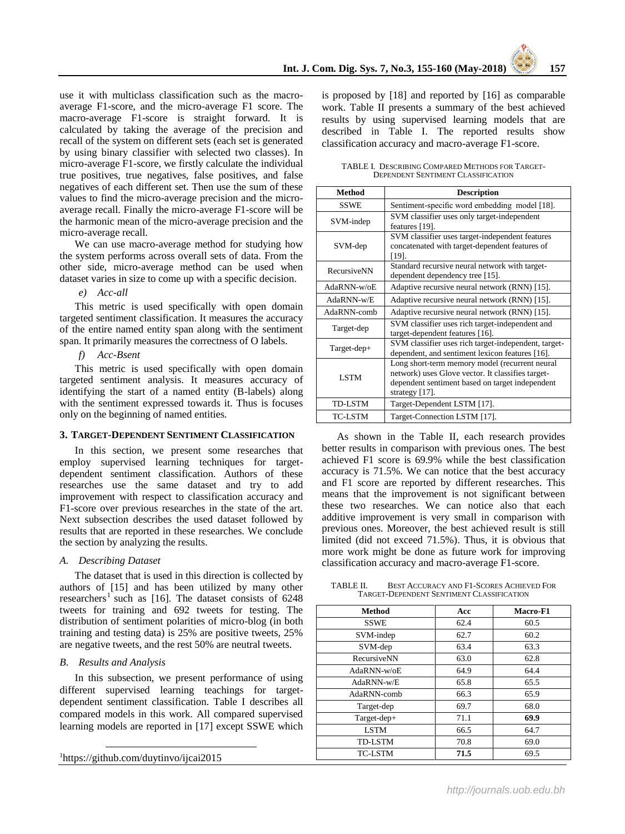use it with multiclass classification such as the macroaverage F1-score, and the micro-average F1 score. The macro-average F1-score is straight forward. It is calculated by taking the average of the precision and recall of the system on different sets (each set is generated by using binary classifier with selected two classes). In micro-average F1-score, we firstly calculate the individual true positives, true negatives, false positives, and false negatives of each different set. Then use the sum of these values to find the micro-average precision and the microaverage recall. Finally the micro-average F1-score will be the harmonic mean of the micro-average precision and the micro-average recall.

We can use macro-average method for studying how the system performs across overall sets of data. From the other side, micro-average method can be used when dataset varies in size to come up with a specific decision.

*e) Acc-all*

This metric is used specifically with open domain targeted sentiment classification. It measures the accuracy of the entire named entity span along with the sentiment span. It primarily measures the correctness of O labels.

*f) Acc-Bsent* 

This metric is used specifically with open domain targeted sentiment analysis. It measures accuracy of identifying the start of a named entity (B-labels) along with the sentiment expressed towards it. Thus is focuses only on the beginning of named entities.

### **3. TARGET-DEPENDENT SENTIMENT CLASSIFICATION**

In this section, we present some researches that employ supervised learning techniques for targetdependent sentiment classification. Authors of these researches use the same dataset and try to add improvement with respect to classification accuracy and F1-score over previous researches in the state of the art. Next subsection describes the used dataset followed by results that are reported in these researches. We conclude the section by analyzing the results.

### *A. Describing Dataset*

The dataset that is used in this direction is collected by authors of [15] and has been utilized by many other researchers<sup>1</sup> such as [16]. The dataset consists of 6248 tweets for training and 692 tweets for testing. The distribution of sentiment polarities of micro-blog (in both training and testing data) is 25% are positive tweets, 25% are negative tweets, and the rest 50% are neutral tweets.

### *B. Results and Analysis*

 $\overline{a}$ 

In this subsection, we present performance of using different supervised learning teachings for targetdependent sentiment classification. Table I describes all compared models in this work. All compared supervised learning models are reported in [17] except SSWE which

| <sup>1</sup> https://github.com/duytinvo/ijcai2015 |  |
|----------------------------------------------------|--|
|                                                    |  |

is proposed by [18] and reported by [16] as comparable work. Table II presents a summary of the best achieved results by using supervised learning models that are described in Table I. The reported results show classification accuracy and macro-average F1-score.

TABLE I. DESCRIBING COMPARED METHODS FOR TARGET-DEPENDENT SENTIMENT CLASSIFICATION

| <b>Method</b>  | <b>Description</b>                                                                                                                                                       |  |  |  |  |  |  |
|----------------|--------------------------------------------------------------------------------------------------------------------------------------------------------------------------|--|--|--|--|--|--|
| <b>SSWE</b>    | Sentiment-specific word embedding model [18].                                                                                                                            |  |  |  |  |  |  |
| SVM-indep      | SVM classifier uses only target-independent<br>features [19].                                                                                                            |  |  |  |  |  |  |
| SVM-dep        | SVM classifier uses target-independent features<br>concatenated with target-dependent features of<br>[19].                                                               |  |  |  |  |  |  |
| RecursiveNN    | Standard recursive neural network with target-<br>dependent dependency tree [15].                                                                                        |  |  |  |  |  |  |
| $AdaRNN-w0E$   | Adaptive recursive neural network (RNN) [15].                                                                                                                            |  |  |  |  |  |  |
| $AdaRNN-w/E$   | Adaptive recursive neural network (RNN) [15].                                                                                                                            |  |  |  |  |  |  |
| AdaRNN-comb    | Adaptive recursive neural network (RNN) [15].                                                                                                                            |  |  |  |  |  |  |
| Target-dep     | SVM classifier uses rich target-independent and<br>target-dependent features [16].                                                                                       |  |  |  |  |  |  |
| Target-dep+    | SVM classifier uses rich target-independent, target-<br>dependent, and sentiment lexicon features [16].                                                                  |  |  |  |  |  |  |
| <b>LSTM</b>    | Long short-term memory model (recurrent neural<br>network) uses Glove vector. It classifies target-<br>dependent sentiment based on target independent<br>strategy [17]. |  |  |  |  |  |  |
| <b>TD-LSTM</b> | Target-Dependent LSTM [17].                                                                                                                                              |  |  |  |  |  |  |
| TC-LSTM        | Target-Connection LSTM [17].                                                                                                                                             |  |  |  |  |  |  |

As shown in the Table II, each research provides better results in comparison with previous ones. The best achieved F1 score is 69.9% while the best classification accuracy is 71.5%. We can notice that the best accuracy and F1 score are reported by different researches. This means that the improvement is not significant between these two researches. We can notice also that each additive improvement is very small in comparison with previous ones. Moreover, the best achieved result is still limited (did not exceed 71.5%). Thus, it is obvious that more work might be done as future work for improving classification accuracy and macro-average F1-score.

TABLE II. BEST ACCURACY AND F1-SCORES ACHIEVED FOR TARGET-DEPENDENT SENTIMENT CLASSIFICATION

| <b>Method</b>  | Acc  | <b>Macro-F1</b> |
|----------------|------|-----------------|
| <b>SSWE</b>    | 62.4 | 60.5            |
| SVM-indep      | 62.7 | 60.2            |
| SVM-dep        | 63.4 | 63.3            |
| RecursiveNN    | 63.0 | 62.8            |
| $AdaRNN-w/oE$  | 64.9 | 64.4            |
| $AdaRNN-w/E$   | 65.8 | 65.5            |
| AdaRNN-comb    | 66.3 | 65.9            |
| Target-dep     | 69.7 | 68.0            |
| Target-dep+    | 71.1 | 69.9            |
| <b>LSTM</b>    | 66.5 | 64.7            |
| <b>TD-LSTM</b> | 70.8 | 69.0            |
| <b>TC-LSTM</b> | 71.5 | 69.5            |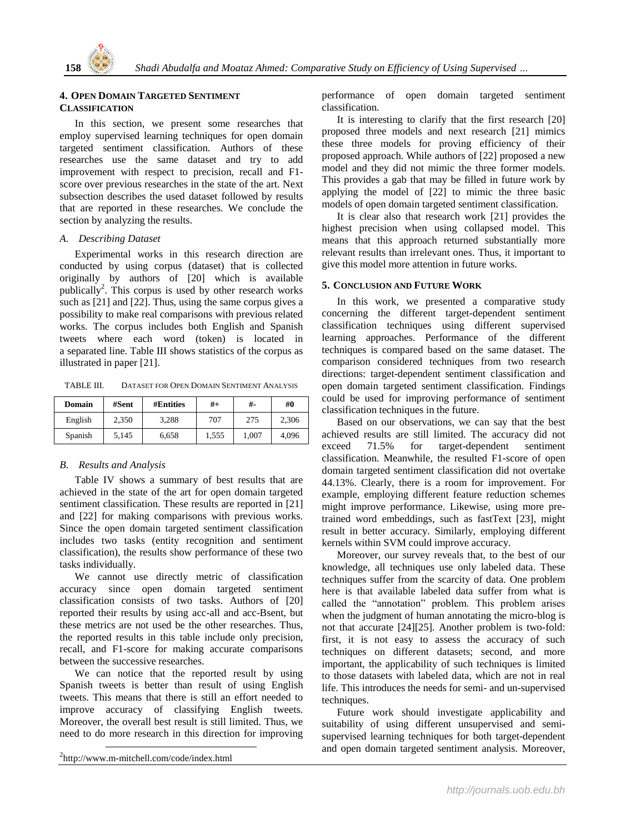

## **4. OPEN DOMAIN TARGETED SENTIMENT CLASSIFICATION**

In this section, we present some researches that employ supervised learning techniques for open domain targeted sentiment classification. Authors of these researches use the same dataset and try to add improvement with respect to precision, recall and F1 score over previous researches in the state of the art. Next subsection describes the used dataset followed by results that are reported in these researches. We conclude the section by analyzing the results.

### *A. Describing Dataset*

Experimental works in this research direction are conducted by using corpus (dataset) that is collected originally by authors of [20] which is available publically<sup>2</sup>. This corpus is used by other research works such as [21] and [22]. Thus, using the same corpus gives a possibility to make real comparisons with previous related works. The corpus includes both English and Spanish tweets where each word (token) is located in a separated line. Table III shows statistics of the corpus as illustrated in paper [21].

TABLE III. DATASET FOR OPEN DOMAIN SENTIMENT ANALYSIS

| Domain  | #Sent | #Entities | $#+$  | #-    | #0    |  |
|---------|-------|-----------|-------|-------|-------|--|
| English | 2.350 | 3.288     | 707   | 275   | 2.306 |  |
| Spanish | 5.145 | 6.658     | 1.555 | 1.007 | 4.096 |  |

# *B. Results and Analysis*

Table IV shows a summary of best results that are achieved in the state of the art for open domain targeted sentiment classification. These results are reported in [21] and [22] for making comparisons with previous works. Since the open domain targeted sentiment classification includes two tasks (entity recognition and sentiment classification), the results show performance of these two tasks individually.

We cannot use directly metric of classification accuracy since open domain targeted sentiment classification consists of two tasks. Authors of [20] reported their results by using acc-all and acc-Bsent, but these metrics are not used be the other researches. Thus, the reported results in this table include only precision, recall, and F1-score for making accurate comparisons between the successive researches.

We can notice that the reported result by using Spanish tweets is better than result of using English tweets. This means that there is still an effort needed to improve accuracy of classifying English tweets. Moreover, the overall best result is still limited. Thus, we need to do more research in this direction for improving

2 http://www.m-mitchell.com/code/index.html

 $\overline{a}$ 

performance of open domain targeted sentiment classification.

It is interesting to clarify that the first research [20] proposed three models and next research [21] mimics these three models for proving efficiency of their proposed approach. While authors of [22] proposed a new model and they did not mimic the three former models. This provides a gab that may be filled in future work by applying the model of [22] to mimic the three basic models of open domain targeted sentiment classification.

It is clear also that research work [21] provides the highest precision when using collapsed model. This means that this approach returned substantially more relevant results than irrelevant ones. Thus, it important to give this model more attention in future works.

## **5. CONCLUSION AND FUTURE WORK**

In this work, we presented a comparative study concerning the different target-dependent sentiment classification techniques using different supervised learning approaches. Performance of the different techniques is compared based on the same dataset. The comparison considered techniques from two research directions: target-dependent sentiment classification and open domain targeted sentiment classification. Findings could be used for improving performance of sentiment classification techniques in the future.

Based on our observations, we can say that the best achieved results are still limited. The accuracy did not exceed 71.5% for target-dependent sentiment classification. Meanwhile, the resulted F1-score of open domain targeted sentiment classification did not overtake 44.13%. Clearly, there is a room for improvement. For example, employing different feature reduction schemes might improve performance. Likewise, using more pretrained word embeddings, such as fastText [23], might result in better accuracy. Similarly, employing different kernels within SVM could improve accuracy.

Moreover, our survey reveals that, to the best of our knowledge, all techniques use only labeled data. These techniques suffer from the scarcity of data. One problem here is that available labeled data suffer from what is called the "annotation" problem. This problem arises when the judgment of human annotating the micro-blog is not that accurate [24][25]. Another problem is two-fold: first, it is not easy to assess the accuracy of such techniques on different datasets; second, and more important, the applicability of such techniques is limited to those datasets with labeled data, which are not in real life. This introduces the needs for semi- and un-supervised techniques.

Future work should investigate applicability and suitability of using different unsupervised and semisupervised learning techniques for both target-dependent and open domain targeted sentiment analysis. Moreover,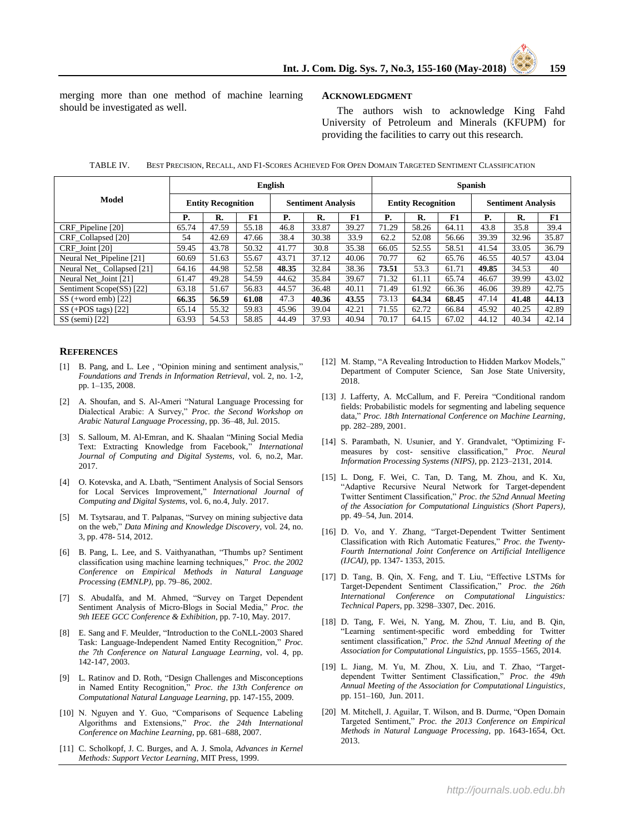merging more than one method of machine learning should be investigated as well.

#### **ACKNOWLEDGMENT**

The authors wish to acknowledge King Fahd University of Petroleum and Minerals (KFUPM) for providing the facilities to carry out this research.

|                           | English                   |       |                           |       |                           | <b>Spanish</b> |                           |       |       |       |       |       |
|---------------------------|---------------------------|-------|---------------------------|-------|---------------------------|----------------|---------------------------|-------|-------|-------|-------|-------|
| <b>Model</b>              | <b>Entity Recognition</b> |       | <b>Sentiment Analysis</b> |       | <b>Entity Recognition</b> |                | <b>Sentiment Analysis</b> |       |       |       |       |       |
|                           | Р.                        | R.    | F1                        | Р.    | R.                        | F1             | Р.                        | R.    | F1    | Р.    | R.    | F1    |
| CRF_Pipeline [20]         | 65.74                     | 47.59 | 55.18                     | 46.8  | 33.87                     | 39.27          | 71.29                     | 58.26 | 64.11 | 43.8  | 35.8  | 39.4  |
| CRF Collapsed [20]        | 54                        | 42.69 | 47.66                     | 38.4  | 30.38                     | 33.9           | 62.2                      | 52.08 | 56.66 | 39.39 | 32.96 | 35.87 |
| CRF Joint [20]            | 59.45                     | 43.78 | 50.32                     | 41.77 | 30.8                      | 35.38          | 66.05                     | 52.55 | 58.51 | 41.54 | 33.05 | 36.79 |
| Neural Net Pipeline [21]  | 60.69                     | 51.63 | 55.67                     | 43.71 | 37.12                     | 40.06          | 70.77                     | 62    | 65.76 | 46.55 | 40.57 | 43.04 |
| Neural Net Collapsed [21] | 64.16                     | 44.98 | 52.58                     | 48.35 | 32.84                     | 38.36          | 73.51                     | 53.3  | 61.71 | 49.85 | 34.53 | 40    |
| Neural Net Joint [21]     | 61.47                     | 49.28 | 54.59                     | 44.62 | 35.84                     | 39.67          | 71.32                     | 61.11 | 65.74 | 46.67 | 39.99 | 43.02 |
| Sentiment Scope(SS) [22]  | 63.18                     | 51.67 | 56.83                     | 44.57 | 36.48                     | 40.11          | 71.49                     | 61.92 | 66.36 | 46.06 | 39.89 | 42.75 |
| $SS$ (+word emb) [22]     | 66.35                     | 56.59 | 61.08                     | 47.3  | 40.36                     | 43.55          | 73.13                     | 64.34 | 68.45 | 47.14 | 41.48 | 44.13 |
| $SS$ (+POS tags) [22]     | 65.14                     | 55.32 | 59.83                     | 45.96 | 39.04                     | 42.21          | 71.55                     | 62.72 | 66.84 | 45.92 | 40.25 | 42.89 |
| $SS$ (semi) [22]          | 63.93                     | 54.53 | 58.85                     | 44.49 | 37.93                     | 40.94          | 70.17                     | 64.15 | 67.02 | 44.12 | 40.34 | 42.14 |

TABLE IV. BEST PRECISION, RECALL, AND F1-SCORES ACHIEVED FOR OPEN DOMAIN TARGETED SENTIMENT CLASSIFICATION

#### **REFERENCES**

- [1] B. Pang, and L. Lee , "Opinion mining and sentiment analysis," *Foundations and Trends in Information Retrieval*, vol. 2, no. 1-2, pp. 1–135, 2008.
- [2] A. Shoufan, and S. Al-Ameri "Natural Language Processing for Dialectical Arabic: A Survey," *Proc. the Second Workshop on Arabic Natural Language Processing*, pp. 36–48, Jul. 2015.
- [3] S. Salloum, M. Al-Emran, and K. Shaalan "Mining Social Media Text: Extracting Knowledge from Facebook," *International Journal of Computing and Digital Systems*, vol. 6, no.2, Mar. 2017.
- [4] O. Kotevska, and A. Lbath, "Sentiment Analysis of Social Sensors for Local Services Improvement," *International Journal of Computing and Digital Systems*, vol. 6, no.4, July. 2017.
- [5] M. Tsytsarau, and T. Palpanas, "Survey on mining subjective data on the web," *Data Mining and Knowledge Discovery*, vol. 24, no. 3, pp. 478- 514, 2012.
- [6] B. Pang, L. Lee, and S. Vaithyanathan, "Thumbs up? Sentiment classification using machine learning techniques," *Proc. the 2002 Conference on Empirical Methods in Natural Language Processing (EMNLP)*, pp. 79–86, 2002.
- [7] S. Abudalfa, and M. Ahmed, "Survey on Target Dependent Sentiment Analysis of Micro-Blogs in Social Media," *Proc. the 9th IEEE GCC Conference & Exhibition*, pp. 7-10, May. 2017.
- [8] E. Sang and F. Meulder, "Introduction to the CoNLL-2003 Shared Task: Language-Independent Named Entity Recognition," *Proc. the 7th Conference on Natural Language Learning*, vol. 4, pp. 142-147, 2003.
- [9] L. Ratinov and D. Roth, "Design Challenges and Misconceptions in Named Entity Recognition," *Proc. the 13th Conference on Computational Natural Language Learning*, pp. 147-155, 2009.
- [10] N. Nguyen and Y. Guo, "Comparisons of Sequence Labeling Algorithms and Extensions," *Proc. the 24th International Conference on Machine Learning*, pp. 681–688, 2007.
- [11] C. Scholkopf, J. C. Burges, and A. J. Smola, *Advances in Kernel Methods: Support Vector Learning*, MIT Press, 1999.
- [12] M. Stamp, "A Revealing Introduction to Hidden Markov Models," Department of Computer Science, San Jose State University, 2018.
- [13] J. Lafferty, A. McCallum, and F. Pereira "Conditional random fields: Probabilistic models for segmenting and labeling sequence data," *Proc. 18th International Conference on Machine Learning*, pp. 282–289, 2001.
- [14] S. Parambath, N. Usunier, and Y. Grandvalet, "Optimizing Fmeasures by cost- sensitive classification," *Proc. Neural Information Processing Systems (NIPS)*, pp. 2123–2131, 2014.
- [15] L. Dong, F. Wei, C. Tan, D. Tang, M. Zhou, and K. Xu, "Adaptive Recursive Neural Network for Target-dependent Twitter Sentiment Classification," *Proc. the 52nd Annual Meeting of the Association for Computational Linguistics (Short Papers)*, pp. 49–54, Jun. 2014.
- [16] D. Vo, and Y. Zhang, "Target-Dependent Twitter Sentiment Classification with Rich Automatic Features," *Proc. the Twenty-Fourth International Joint Conference on Artificial Intelligence (IJCAI),* pp. 1347- 1353, 2015.
- [17] D. Tang, B. Qin, X. Feng, and T. Liu, "Effective LSTMs for Target-Dependent Sentiment Classification," *Proc. the 26th International Conference on Computational Linguistics: Technical Papers*, pp. 3298–3307, Dec. 2016.
- [18] D. Tang, F. Wei, N. Yang, M. Zhou, T. Liu, and B. Qin, "Learning sentiment-specific word embedding for Twitter sentiment classification," *Proc. the 52nd Annual Meeting of the Association for Computational Linguistics*, pp. 1555–1565, 2014.
- [19] L. Jiang, M. Yu, M. Zhou, X. Liu, and T. Zhao, "Targetdependent Twitter Sentiment Classification," *Proc. the 49th Annual Meeting of the Association for Computational Linguistics*, pp. 151–160, Jun. 2011.
- [20] M. Mitchell, J. Aguilar, T. Wilson, and B. Durme, "Open Domain Targeted Sentiment," *Proc. the 2013 Conference on Empirical Methods in Natural Language Processing*, pp. 1643-1654, Oct. 2013.